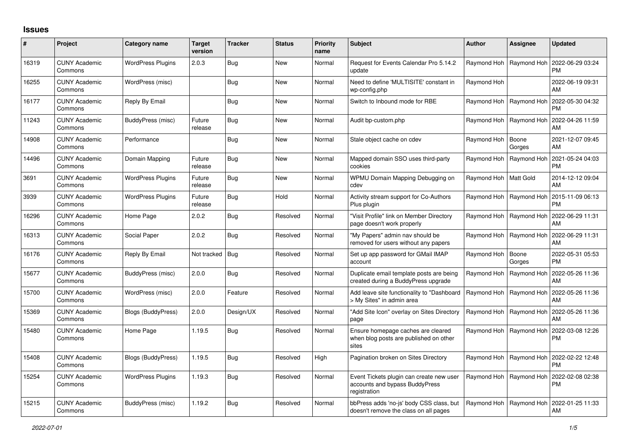## **Issues**

| #     | Project                         | Category name            | <b>Target</b><br>version | <b>Tracker</b> | <b>Status</b> | <b>Priority</b><br>name | <b>Subject</b>                                                                             | <b>Author</b>           | Assignee                  | <b>Updated</b>                |
|-------|---------------------------------|--------------------------|--------------------------|----------------|---------------|-------------------------|--------------------------------------------------------------------------------------------|-------------------------|---------------------------|-------------------------------|
| 16319 | <b>CUNY Academic</b><br>Commons | <b>WordPress Plugins</b> | 2.0.3                    | Bug            | <b>New</b>    | Normal                  | Request for Events Calendar Pro 5.14.2<br>update                                           | Raymond Hoh             | Raymond Hoh               | 2022-06-29 03:24<br><b>PM</b> |
| 16255 | <b>CUNY Academic</b><br>Commons | WordPress (misc)         |                          | Bug            | <b>New</b>    | Normal                  | Need to define 'MULTISITE' constant in<br>wp-config.php                                    | Raymond Hoh             |                           | 2022-06-19 09:31<br>AM        |
| 16177 | <b>CUNY Academic</b><br>Commons | Reply By Email           |                          | <b>Bug</b>     | <b>New</b>    | Normal                  | Switch to Inbound mode for RBE                                                             | Raymond Hoh             | Raymond Hoh               | 2022-05-30 04:32<br><b>PM</b> |
| 11243 | <b>CUNY Academic</b><br>Commons | BuddyPress (misc)        | Future<br>release        | <b>Bug</b>     | <b>New</b>    | Normal                  | Audit bp-custom.php                                                                        | Raymond Hoh             | Raymond Hoh               | 2022-04-26 11:59<br>AM        |
| 14908 | <b>CUNY Academic</b><br>Commons | Performance              |                          | <b>Bug</b>     | <b>New</b>    | Normal                  | Stale object cache on cdev                                                                 | Raymond Hoh             | Boone<br>Gorges           | 2021-12-07 09:45<br>AM        |
| 14496 | <b>CUNY Academic</b><br>Commons | Domain Mapping           | Future<br>release        | <b>Bug</b>     | <b>New</b>    | Normal                  | Mapped domain SSO uses third-party<br>cookies                                              | Raymond Hoh             | Raymond Hoh               | 2021-05-24 04:03<br><b>PM</b> |
| 3691  | <b>CUNY Academic</b><br>Commons | <b>WordPress Plugins</b> | Future<br>release        | <b>Bug</b>     | <b>New</b>    | Normal                  | WPMU Domain Mapping Debugging on<br>cdev                                                   | Raymond Hoh   Matt Gold |                           | 2014-12-12 09:04<br>AM        |
| 3939  | <b>CUNY Academic</b><br>Commons | <b>WordPress Plugins</b> | Future<br>release        | <b>Bug</b>     | Hold          | Normal                  | Activity stream support for Co-Authors<br>Plus plugin                                      | Raymond Hoh             | Raymond Hoh               | 2015-11-09 06:13<br><b>PM</b> |
| 16296 | <b>CUNY Academic</b><br>Commons | Home Page                | 2.0.2                    | Bug            | Resolved      | Normal                  | 'Visit Profile" link on Member Directory<br>page doesn't work properly                     | Raymond Hoh             | Raymond Hoh               | 2022-06-29 11:31<br>AM        |
| 16313 | <b>CUNY Academic</b><br>Commons | Social Paper             | 2.0.2                    | Bug            | Resolved      | Normal                  | 'My Papers" admin nav should be<br>removed for users without any papers                    | Raymond Hoh             | Raymond Hoh               | 2022-06-29 11:31<br>AM        |
| 16176 | <b>CUNY Academic</b><br>Commons | Reply By Email           | Not tracked   Bug        |                | Resolved      | Normal                  | Set up app password for GMail IMAP<br>account                                              | Raymond Hoh             | Boone<br>Gorges           | 2022-05-31 05:53<br><b>PM</b> |
| 15677 | <b>CUNY Academic</b><br>Commons | BuddyPress (misc)        | 2.0.0                    | <b>Bug</b>     | Resolved      | Normal                  | Duplicate email template posts are being<br>created during a BuddyPress upgrade            | Raymond Hoh             | Raymond Hoh               | 2022-05-26 11:36<br>AM        |
| 15700 | <b>CUNY Academic</b><br>Commons | WordPress (misc)         | 2.0.0                    | Feature        | Resolved      | Normal                  | Add leave site functionality to "Dashboard<br>> My Sites" in admin area                    |                         | Raymond Hoh   Raymond Hoh | 2022-05-26 11:36<br>AM        |
| 15369 | <b>CUNY Academic</b><br>Commons | Blogs (BuddyPress)       | 2.0.0                    | Design/UX      | Resolved      | Normal                  | 'Add Site Icon" overlay on Sites Directory<br>page                                         | Raymond Hoh             | Raymond Hoh               | 2022-05-26 11:36<br>AM        |
| 15480 | <b>CUNY Academic</b><br>Commons | Home Page                | 1.19.5                   | <b>Bug</b>     | Resolved      | Normal                  | Ensure homepage caches are cleared<br>when blog posts are published on other<br>sites      | Raymond Hoh             | Raymond Hoh               | 2022-03-08 12:26<br>PM        |
| 15408 | <b>CUNY Academic</b><br>Commons | Blogs (BuddyPress)       | 1.19.5                   | <b>Bug</b>     | Resolved      | High                    | Pagination broken on Sites Directory                                                       | Raymond Hoh             | Raymond Hoh               | 2022-02-22 12:48<br><b>PM</b> |
| 15254 | <b>CUNY Academic</b><br>Commons | <b>WordPress Plugins</b> | 1.19.3                   | <b>Bug</b>     | Resolved      | Normal                  | Event Tickets plugin can create new user<br>accounts and bypass BuddyPress<br>registration | Raymond Hoh             | Raymond Hoh               | 2022-02-08 02:38<br><b>PM</b> |
| 15215 | <b>CUNY Academic</b><br>Commons | BuddyPress (misc)        | 1.19.2                   | <b>Bug</b>     | Resolved      | Normal                  | bbPress adds 'no-js' body CSS class, but<br>doesn't remove the class on all pages          | Raymond Hoh             | Raymond Hoh               | 2022-01-25 11:33<br>AM        |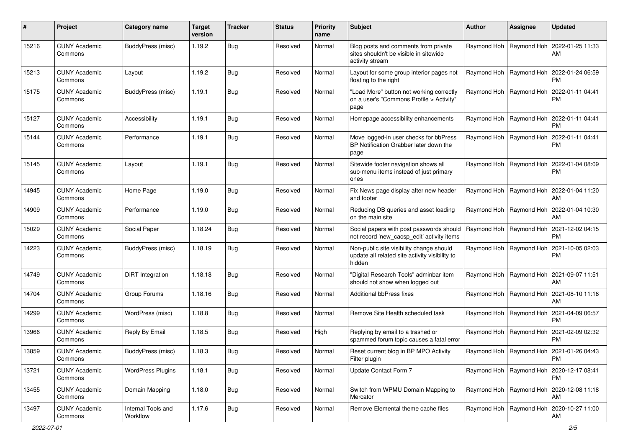| #     | Project                         | Category name                  | <b>Target</b><br>version | <b>Tracker</b> | <b>Status</b> | <b>Priority</b><br>name | <b>Subject</b>                                                                                       | <b>Author</b>             | Assignee                  | <b>Updated</b>                                            |
|-------|---------------------------------|--------------------------------|--------------------------|----------------|---------------|-------------------------|------------------------------------------------------------------------------------------------------|---------------------------|---------------------------|-----------------------------------------------------------|
| 15216 | <b>CUNY Academic</b><br>Commons | BuddyPress (misc)              | 1.19.2                   | <b>Bug</b>     | Resolved      | Normal                  | Blog posts and comments from private<br>sites shouldn't be visible in sitewide<br>activity stream    |                           | Raymond Hoh   Raymond Hoh | 2022-01-25 11:33<br>AM                                    |
| 15213 | <b>CUNY Academic</b><br>Commons | Layout                         | 1.19.2                   | <b>Bug</b>     | Resolved      | Normal                  | Layout for some group interior pages not<br>floating to the right                                    |                           | Raymond Hoh   Raymond Hoh | 2022-01-24 06:59<br>PM.                                   |
| 15175 | <b>CUNY Academic</b><br>Commons | BuddyPress (misc)              | 1.19.1                   | Bug            | Resolved      | Normal                  | "Load More" button not working correctly<br>on a user's "Commons Profile > Activity"<br>page         |                           | Raymond Hoh   Raymond Hoh | 2022-01-11 04:41<br><b>PM</b>                             |
| 15127 | <b>CUNY Academic</b><br>Commons | Accessibility                  | 1.19.1                   | Bug            | Resolved      | Normal                  | Homepage accessibility enhancements                                                                  |                           |                           | Raymond Hoh   Raymond Hoh   2022-01-11 04:41<br><b>PM</b> |
| 15144 | <b>CUNY Academic</b><br>Commons | Performance                    | 1.19.1                   | <b>Bug</b>     | Resolved      | Normal                  | Move logged-in user checks for bbPress<br>BP Notification Grabber later down the<br>page             |                           | Raymond Hoh   Raymond Hoh | 2022-01-11 04:41<br><b>PM</b>                             |
| 15145 | <b>CUNY Academic</b><br>Commons | Layout                         | 1.19.1                   | Bug            | Resolved      | Normal                  | Sitewide footer navigation shows all<br>sub-menu items instead of just primary<br>ones               |                           | Raymond Hoh   Raymond Hoh | 2022-01-04 08:09<br><b>PM</b>                             |
| 14945 | <b>CUNY Academic</b><br>Commons | Home Page                      | 1.19.0                   | Bug            | Resolved      | Normal                  | Fix News page display after new header<br>and footer                                                 |                           | Raymond Hoh   Raymond Hoh | 2022-01-04 11:20<br>AM                                    |
| 14909 | <b>CUNY Academic</b><br>Commons | Performance                    | 1.19.0                   | <b>Bug</b>     | Resolved      | Normal                  | Reducing DB queries and asset loading<br>on the main site                                            | Raymond Hoh               | Raymond Hoh               | 2022-01-04 10:30<br>AM                                    |
| 15029 | <b>CUNY Academic</b><br>Commons | Social Paper                   | 1.18.24                  | <b>Bug</b>     | Resolved      | Normal                  | Social papers with post passwords should<br>not record 'new_cacsp_edit' activity items               | Raymond Hoh   Raymond Hoh |                           | 2021-12-02 04:15<br><b>PM</b>                             |
| 14223 | <b>CUNY Academic</b><br>Commons | BuddyPress (misc)              | 1.18.19                  | Bug            | Resolved      | Normal                  | Non-public site visibility change should<br>update all related site activity visibility to<br>hidden |                           | Raymond Hoh   Raymond Hoh | 2021-10-05 02:03<br><b>PM</b>                             |
| 14749 | <b>CUNY Academic</b><br>Commons | DiRT Integration               | 1.18.18                  | <b>Bug</b>     | Resolved      | Normal                  | "Digital Research Tools" adminbar item<br>should not show when logged out                            |                           |                           | Raymond Hoh   Raymond Hoh   2021-09-07 11:51<br>AM        |
| 14704 | <b>CUNY Academic</b><br>Commons | Group Forums                   | 1.18.16                  | Bug            | Resolved      | Normal                  | <b>Additional bbPress fixes</b>                                                                      |                           | Raymond Hoh   Raymond Hoh | 2021-08-10 11:16<br>AM                                    |
| 14299 | <b>CUNY Academic</b><br>Commons | WordPress (misc)               | 1.18.8                   | <b>Bug</b>     | Resolved      | Normal                  | Remove Site Health scheduled task                                                                    |                           | Raymond Hoh   Raymond Hoh | 2021-04-09 06:57<br><b>PM</b>                             |
| 13966 | <b>CUNY Academic</b><br>Commons | Reply By Email                 | 1.18.5                   | <b>Bug</b>     | Resolved      | High                    | Replying by email to a trashed or<br>spammed forum topic causes a fatal error                        |                           | Raymond Hoh   Raymond Hoh | 2021-02-09 02:32<br><b>PM</b>                             |
| 13859 | <b>CUNY Academic</b><br>Commons | BuddyPress (misc)              | 1.18.3                   | Bug            | Resolved      | Normal                  | Reset current blog in BP MPO Activity<br>Filter plugin                                               |                           |                           | Raymond Hoh   Raymond Hoh   2021-01-26 04:43<br><b>PM</b> |
| 13721 | <b>CUNY Academic</b><br>Commons | <b>WordPress Plugins</b>       | 1.18.1                   | Bug            | Resolved      | Normal                  | Update Contact Form 7                                                                                |                           | Raymond Hoh   Raymond Hoh | 2020-12-17 08:41<br><b>PM</b>                             |
| 13455 | <b>CUNY Academic</b><br>Commons | Domain Mapping                 | 1.18.0                   | Bug            | Resolved      | Normal                  | Switch from WPMU Domain Mapping to<br>Mercator                                                       |                           | Raymond Hoh   Raymond Hoh | 2020-12-08 11:18<br>AM                                    |
| 13497 | <b>CUNY Academic</b><br>Commons | Internal Tools and<br>Workflow | 1.17.6                   | <b>Bug</b>     | Resolved      | Normal                  | Remove Elemental theme cache files                                                                   |                           | Raymond Hoh   Raymond Hoh | 2020-10-27 11:00<br>AM                                    |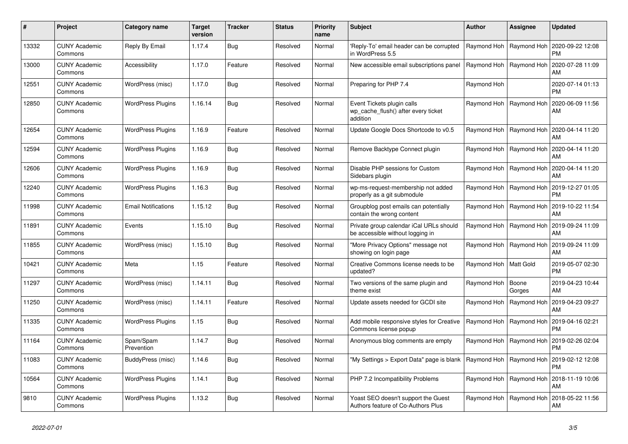| #     | Project                         | Category name              | <b>Target</b><br>version | <b>Tracker</b> | <b>Status</b> | <b>Priority</b><br>name | <b>Subject</b>                                                                | <b>Author</b>           | Assignee                  | <b>Updated</b>                                     |
|-------|---------------------------------|----------------------------|--------------------------|----------------|---------------|-------------------------|-------------------------------------------------------------------------------|-------------------------|---------------------------|----------------------------------------------------|
| 13332 | <b>CUNY Academic</b><br>Commons | Reply By Email             | 1.17.4                   | Bug            | Resolved      | Normal                  | Reply-To' email header can be corrupted<br>in WordPress 5.5                   |                         | Raymond Hoh   Raymond Hoh | 2020-09-22 12:08<br><b>PM</b>                      |
| 13000 | <b>CUNY Academic</b><br>Commons | Accessibility              | 1.17.0                   | Feature        | Resolved      | Normal                  | New accessible email subscriptions panel                                      |                         | Raymond Hoh   Raymond Hoh | 2020-07-28 11:09<br>AM                             |
| 12551 | <b>CUNY Academic</b><br>Commons | WordPress (misc)           | 1.17.0                   | Bug            | Resolved      | Normal                  | Preparing for PHP 7.4                                                         | Raymond Hoh             |                           | 2020-07-14 01:13<br><b>PM</b>                      |
| 12850 | <b>CUNY Academic</b><br>Commons | <b>WordPress Plugins</b>   | 1.16.14                  | Bug            | Resolved      | Normal                  | Event Tickets plugin calls<br>wp cache flush() after every ticket<br>addition |                         | Raymond Hoh   Raymond Hoh | 2020-06-09 11:56<br>AM                             |
| 12654 | CUNY Academic<br>Commons        | <b>WordPress Plugins</b>   | 1.16.9                   | Feature        | Resolved      | Normal                  | Update Google Docs Shortcode to v0.5                                          |                         |                           | Raymond Hoh   Raymond Hoh   2020-04-14 11:20<br>AM |
| 12594 | <b>CUNY Academic</b><br>Commons | <b>WordPress Plugins</b>   | 1.16.9                   | Bug            | Resolved      | Normal                  | Remove Backtype Connect plugin                                                |                         | Raymond Hoh   Raymond Hoh | 2020-04-14 11:20<br>AM                             |
| 12606 | <b>CUNY Academic</b><br>Commons | <b>WordPress Plugins</b>   | 1.16.9                   | Bug            | Resolved      | Normal                  | Disable PHP sessions for Custom<br>Sidebars plugin                            |                         | Raymond Hoh   Raymond Hoh | 2020-04-14 11:20<br>AM                             |
| 12240 | <b>CUNY Academic</b><br>Commons | <b>WordPress Plugins</b>   | 1.16.3                   | Bug            | Resolved      | Normal                  | wp-ms-request-membership not added<br>properly as a git submodule             | Raymond Hoh             | Raymond Hoh               | 2019-12-27 01:05<br><b>PM</b>                      |
| 11998 | <b>CUNY Academic</b><br>Commons | <b>Email Notifications</b> | 1.15.12                  | Bug            | Resolved      | Normal                  | Groupblog post emails can potentially<br>contain the wrong content            |                         | Raymond Hoh   Raymond Hoh | 2019-10-22 11:54<br>AM                             |
| 11891 | <b>CUNY Academic</b><br>Commons | Events                     | 1.15.10                  | Bug            | Resolved      | Normal                  | Private group calendar iCal URLs should<br>be accessible without logging in   |                         | Raymond Hoh   Raymond Hoh | 2019-09-24 11:09<br>AM                             |
| 11855 | <b>CUNY Academic</b><br>Commons | WordPress (misc)           | 1.15.10                  | Bug            | Resolved      | Normal                  | "More Privacy Options" message not<br>showing on login page                   |                         | Raymond Hoh   Raymond Hoh | 2019-09-24 11:09<br>AM                             |
| 10421 | <b>CUNY Academic</b><br>Commons | Meta                       | 1.15                     | Feature        | Resolved      | Normal                  | Creative Commons license needs to be<br>updated?                              | Raymond Hoh   Matt Gold |                           | 2019-05-07 02:30<br><b>PM</b>                      |
| 11297 | <b>CUNY Academic</b><br>Commons | WordPress (misc)           | 1.14.11                  | <b>Bug</b>     | Resolved      | Normal                  | Two versions of the same plugin and<br>theme exist                            | Raymond Hoh             | Boone<br>Gorges           | 2019-04-23 10:44<br>AM                             |
| 11250 | CUNY Academic<br>Commons        | WordPress (misc)           | 1.14.11                  | Feature        | Resolved      | Normal                  | Update assets needed for GCDI site                                            | Raymond Hoh             | Raymond Hoh               | 2019-04-23 09:27<br>AM                             |
| 11335 | <b>CUNY Academic</b><br>Commons | <b>WordPress Plugins</b>   | 1.15                     | Bug            | Resolved      | Normal                  | Add mobile responsive styles for Creative<br>Commons license popup            |                         | Raymond Hoh   Raymond Hoh | 2019-04-16 02:21<br><b>PM</b>                      |
| 11164 | <b>CUNY Academic</b><br>Commons | Spam/Spam<br>Prevention    | 1.14.7                   | Bug            | Resolved      | Normal                  | Anonymous blog comments are empty                                             |                         | Raymond Hoh   Raymond Hoh | 2019-02-26 02:04<br><b>PM</b>                      |
| 11083 | <b>CUNY Academic</b><br>Commons | BuddyPress (misc)          | 1.14.6                   | Bug            | Resolved      | Normal                  | "My Settings > Export Data" page is blank                                     |                         | Raymond Hoh   Raymond Hoh | 2019-02-12 12:08<br><b>PM</b>                      |
| 10564 | <b>CUNY Academic</b><br>Commons | <b>WordPress Plugins</b>   | 1.14.1                   | Bug            | Resolved      | Normal                  | PHP 7.2 Incompatibility Problems                                              |                         |                           | Raymond Hoh   Raymond Hoh   2018-11-19 10:06<br>AM |
| 9810  | CUNY Academic<br>Commons        | <b>WordPress Plugins</b>   | 1.13.2                   | Bug            | Resolved      | Normal                  | Yoast SEO doesn't support the Guest<br>Authors feature of Co-Authors Plus     |                         | Raymond Hoh   Raymond Hoh | 2018-05-22 11:56<br>AM                             |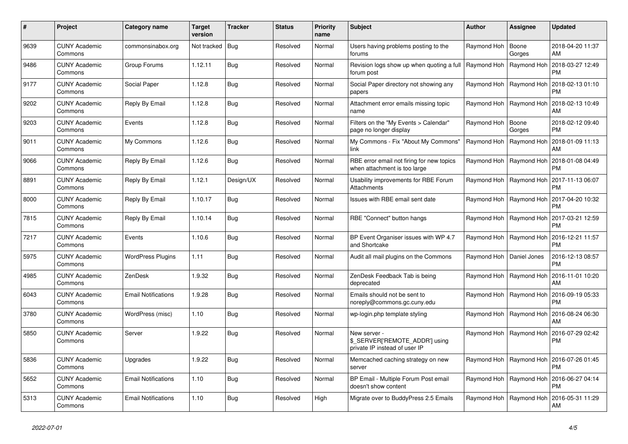| #    | Project                         | Category name              | <b>Target</b><br>version | Tracker   | <b>Status</b> | <b>Priority</b><br>name | <b>Subject</b>                                                                  | <b>Author</b>              | Assignee                  | <b>Updated</b>                                            |
|------|---------------------------------|----------------------------|--------------------------|-----------|---------------|-------------------------|---------------------------------------------------------------------------------|----------------------------|---------------------------|-----------------------------------------------------------|
| 9639 | <b>CUNY Academic</b><br>Commons | commonsinabox.org          | Not tracked              | Bug       | Resolved      | Normal                  | Users having problems posting to the<br>forums                                  | Raymond Hoh                | Boone<br>Gorges           | 2018-04-20 11:37<br>AM                                    |
| 9486 | <b>CUNY Academic</b><br>Commons | Group Forums               | 1.12.11                  | Bug       | Resolved      | Normal                  | Revision logs show up when quoting a full<br>forum post                         | Raymond Hoh                | Raymond Hoh               | 2018-03-27 12:49<br><b>PM</b>                             |
| 9177 | <b>CUNY Academic</b><br>Commons | Social Paper               | 1.12.8                   | Bug       | Resolved      | Normal                  | Social Paper directory not showing any<br>papers                                | Raymond Hoh                | Raymond Hoh               | 2018-02-13 01:10<br><b>PM</b>                             |
| 9202 | <b>CUNY Academic</b><br>Commons | Reply By Email             | 1.12.8                   | Bug       | Resolved      | Normal                  | Attachment error emails missing topic<br>name                                   |                            | Raymond Hoh   Raymond Hoh | 2018-02-13 10:49<br>AM                                    |
| 9203 | <b>CUNY Academic</b><br>Commons | Events                     | 1.12.8                   | Bug       | Resolved      | Normal                  | Filters on the "My Events > Calendar"<br>page no longer display                 | Raymond Hoh                | Boone<br>Gorges           | 2018-02-12 09:40<br><b>PM</b>                             |
| 9011 | <b>CUNY Academic</b><br>Commons | My Commons                 | 1.12.6                   | Bug       | Resolved      | Normal                  | My Commons - Fix "About My Commons"<br>link                                     | Raymond Hoh                | Raymond Hoh               | 2018-01-09 11:13<br>AM                                    |
| 9066 | <b>CUNY Academic</b><br>Commons | Reply By Email             | 1.12.6                   | Bug       | Resolved      | Normal                  | RBE error email not firing for new topics<br>when attachment is too large       |                            | Raymond Hoh   Raymond Hoh | 2018-01-08 04:49<br><b>PM</b>                             |
| 8891 | <b>CUNY Academic</b><br>Commons | Reply By Email             | 1.12.1                   | Design/UX | Resolved      | Normal                  | Usability improvements for RBE Forum<br>Attachments                             |                            | Raymond Hoh   Raymond Hoh | 2017-11-13 06:07<br><b>PM</b>                             |
| 8000 | <b>CUNY Academic</b><br>Commons | Reply By Email             | 1.10.17                  | Bug       | Resolved      | Normal                  | Issues with RBE email sent date                                                 | Raymond Hoh                | Raymond Hoh               | 2017-04-20 10:32<br><b>PM</b>                             |
| 7815 | <b>CUNY Academic</b><br>Commons | Reply By Email             | 1.10.14                  | Bug       | Resolved      | Normal                  | RBE "Connect" button hangs                                                      |                            |                           | Raymond Hoh   Raymond Hoh   2017-03-21 12:59<br><b>PM</b> |
| 7217 | <b>CUNY Academic</b><br>Commons | Events                     | 1.10.6                   | Bug       | Resolved      | Normal                  | BP Event Organiser issues with WP 4.7<br>and Shortcake                          |                            | Raymond Hoh   Raymond Hoh | 2016-12-21 11:57<br><b>PM</b>                             |
| 5975 | <b>CUNY Academic</b><br>Commons | <b>WordPress Plugins</b>   | 1.11                     | Bug       | Resolved      | Normal                  | Audit all mail plugins on the Commons                                           | Raymond Hoh   Daniel Jones |                           | 2016-12-13 08:57<br><b>PM</b>                             |
| 4985 | <b>CUNY Academic</b><br>Commons | ZenDesk                    | 1.9.32                   | Bug       | Resolved      | Normal                  | ZenDesk Feedback Tab is being<br>deprecated                                     |                            |                           | Raymond Hoh   Raymond Hoh   2016-11-01 10:20<br>AM        |
| 6043 | <b>CUNY Academic</b><br>Commons | <b>Email Notifications</b> | 1.9.28                   | Bug       | Resolved      | Normal                  | Emails should not be sent to<br>noreply@commons.gc.cuny.edu                     |                            | Raymond Hoh   Raymond Hoh | 2016-09-19 05:33<br><b>PM</b>                             |
| 3780 | <b>CUNY Academic</b><br>Commons | WordPress (misc)           | 1.10                     | Bug       | Resolved      | Normal                  | wp-login.php template styling                                                   | Raymond Hoh                | Raymond Hoh               | 2016-08-24 06:30<br>AM                                    |
| 5850 | CUNY Academic<br>Commons        | Server                     | 1.9.22                   | Bug       | Resolved      | Normal                  | New server -<br>\$_SERVER['REMOTE_ADDR'] using<br>private IP instead of user IP |                            | Raymond Hoh   Raymond Hoh | 2016-07-29 02:42<br><b>PM</b>                             |
| 5836 | <b>CUNY Academic</b><br>Commons | Upgrades                   | 1.9.22                   | Bug       | Resolved      | Normal                  | Memcached caching strategy on new<br>server                                     |                            | Raymond Hoh   Raymond Hoh | 2016-07-26 01:45<br><b>PM</b>                             |
| 5652 | <b>CUNY Academic</b><br>Commons | <b>Email Notifications</b> | 1.10                     | Bug       | Resolved      | Normal                  | BP Email - Multiple Forum Post email<br>doesn't show content                    |                            | Raymond Hoh   Raymond Hoh | 2016-06-27 04:14<br><b>PM</b>                             |
| 5313 | <b>CUNY Academic</b><br>Commons | <b>Email Notifications</b> | 1.10                     | Bug       | Resolved      | High                    | Migrate over to BuddyPress 2.5 Emails                                           |                            | Raymond Hoh   Raymond Hoh | 2016-05-31 11:29<br>AM                                    |